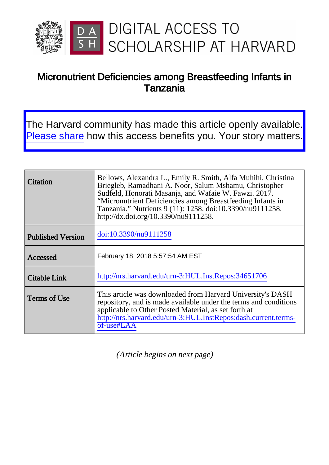

# Micronutrient Deficiencies among Breastfeeding Infants in Tanzania

The Harvard community has made this article openly available. [Please share](http://osc.hul.harvard.edu/dash/open-access-feedback?handle=1/34651706&title=Micronutrient+Deficiencies+among+Breastfeeding+Infants+in+Tanzania&community=1/1,1/4454687&collection=1/2,1/4454688&owningCollection1/2&harvardAuthors=15fe5bb6ed7ac3cd719582939f3f1ce6,71a89ebfe7275e644f56bfafaee31fa2,null,null,54aebad39af8347509748f3d0ea69797,null,4cfc264b45028ef4b56bf7e7f6366c14,null,5eb44d6f5b2f15eb1230f335996dc4de&department=NONE) how this access benefits you. Your story matters.

| Citation                 | Bellows, Alexandra L., Emily R. Smith, Alfa Muhihi, Christina<br>Briegleb, Ramadhani A. Noor, Salum Mshamu, Christopher<br>Sudfeld, Honorati Masanja, and Wafaie W. Fawzi. 2017.<br>"Micronutrient Deficiencies among Breastfeeding Infants in<br>Tanzania." Nutrients 9 (11): 1258. doi:10.3390/nu9111258.<br>http://dx.doi.org/10.3390/nu9111258. |
|--------------------------|-----------------------------------------------------------------------------------------------------------------------------------------------------------------------------------------------------------------------------------------------------------------------------------------------------------------------------------------------------|
| <b>Published Version</b> | doi:10.3390/nu9111258                                                                                                                                                                                                                                                                                                                               |
| Accessed                 | February 18, 2018 5:57:54 AM EST                                                                                                                                                                                                                                                                                                                    |
| <b>Citable Link</b>      | http://nrs.harvard.edu/urn-3:HUL.InstRepos:34651706                                                                                                                                                                                                                                                                                                 |
| Terms of Use             | This article was downloaded from Harvard University's DASH<br>repository, and is made available under the terms and conditions<br>applicable to Other Posted Material, as set forth at<br>http://nrs.harvard.edu/urn-3:HUL.InstRepos:dash.current.terms-<br>of-use#LAA                                                                              |

(Article begins on next page)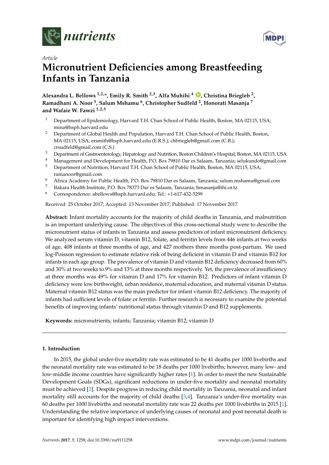



# *Article* **Micronutrient Deficiencies among Breastfeeding Infants in Tanzania**

**Alexandra L. Bellows 1,2,\*, Emily R. Smith 2,3, Alfa Muhihi <sup>4</sup> [ID](https://orcid.org/0000-0002-4477-7300) , Christina Briegleb <sup>2</sup> , Ramadhani A. Noor <sup>5</sup> , Salum Mshamu <sup>6</sup> , Christopher Sudfeld <sup>2</sup> , Honorati Masanja <sup>7</sup> and Wafaie W. Fawzi 1,2,5**

- <sup>1</sup> Department of Epidemiology, Harvard T.H. Chan School of Public Health, Boston, MA 02115, USA; mina@hsph.harvard.edu
- <sup>2</sup> Department of Global Health and Population, Harvard T.H. Chan School of Public Health, Boston, MA 02115, USA; ersmith@hsph.harvard.edu (E.R.S.); chbriegleb@gmail.com (C.B.); crsudfeld@gmail.com (C.S.)
- <sup>3</sup> Department of Gastroenterology, Hepatology and Nutrition, Boston Children's Hospital, Boston, MA 02115, USA
- <sup>4</sup> Management and Development for Health, P.O. Box 79810 Dar es Salaam, Tanzania; selukundo@gmail.com<br><sup>5</sup> Department of Nutrition, Harvard T.H. Chan School of Public Health, Boston, MA 02115, USA:
- <sup>5</sup> Department of Nutrition, Harvard T.H. Chan School of Public Health, Boston, MA 02115, USA; ramanoor@gmail.com
- <sup>6</sup> Africa Academy for Public Health, P.O. Box 79810 Dar es Salaam, Tanzania; salum.mshamu@gmail.com
- 7 Ifakara Health Institute, P.O. Box 78373 Dar es Salaam, Tanzania; hmasanja@ihi.or.tz
- **\*** Correspondence: abellows@hsph.harvard.edu; Tel.: +1-617-432-5299

Received: 25 October 2017; Accepted: 13 November 2017; Published: 17 November 2017

**Abstract:** Infant mortality accounts for the majority of child deaths in Tanzania, and malnutrition is an important underlying cause. The objectives of this cross-sectional study were to describe the micronutrient status of infants in Tanzania and assess predictors of infant micronutrient deficiency. We analyzed serum vitamin D, vitamin B12, folate, and ferritin levels from 446 infants at two weeks of age, 408 infants at three months of age, and 427 mothers three months post-partum. We used log-Poisson regression to estimate relative risk of being deficient in vitamin D and vitamin B12 for infants in each age group. The prevalence of vitamin D and vitamin B12 deficiency decreased from 60% and 30% at two weeks to 9% and 13% at three months respectively. Yet, the prevalence of insufficiency at three months was 49% for vitamin D and 17% for vitamin B12. Predictors of infant vitamin D deficiency were low birthweight, urban residence, maternal education, and maternal vitamin D status. Maternal vitamin B12 status was the main predictor for infant vitamin B12 deficiency. The majority of infants had sufficient levels of folate or ferritin. Further research is necessary to examine the potential benefits of improving infants' nutritional status through vitamin D and B12 supplements.

**Keywords:** micronutrients; infants; Tanzania; vitamin B12; vitamin D

# **1. Introduction**

In 2015, the global under-five mortality rate was estimated to be 41 deaths per 1000 livebirths and the neonatal mortality rate was estimated to be 18 deaths per 1000 livebirths; however, many low- and low-middle income countries have significantly higher rates [\[1\]](#page-10-0). In order to meet the new Sustainable Development Goals (SDGs), significant reductions in under-five mortality and neonatal mortality must be achieved [\[2\]](#page-10-1). Despite progress in reducing child mortality in Tanzania, neonatal and infant mortality still accounts for the majority of child deaths  $[3,4]$  $[3,4]$ . Tanzania's under-five mortality was 60 deaths per 1000 livebirths and neonatal mortality rate was 22 deaths per 1000 livebirths in 2015 [\[1\]](#page-10-0). Understanding the relative importance of underlying causes of neonatal and post neonatal death is important for identifying high impact interventions.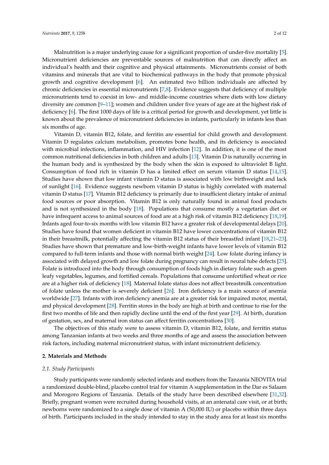Malnutrition is a major underlying cause for a significant proportion of under-five mortality [\[5\]](#page-11-1). Micronutrient deficiencies are preventable sources of malnutrition that can directly affect an individual's health and their cognitive and physical attainments. Micronutrients consist of both vitamins and minerals that are vital to biochemical pathways in the body that promote physical growth and cognitive development [\[6\]](#page-11-2). An estimated two billion individuals are affected by chronic deficiencies in essential micronutrients [\[7](#page-11-3)[,8\]](#page-11-4). Evidence suggests that deficiency of multiple micronutrients tend to coexist in low- and middle-income countries where diets with low dietary diversity are common [\[9–](#page-11-5)[11\]](#page-11-6); women and children under five years of age are at the highest risk of deficiency [\[6\]](#page-11-2). The first 1000 days of life is a critical period for growth and development, yet little is known about the prevalence of micronutrient deficiencies in infants, particularly in infants less than six months of age.

Vitamin D, vitamin B12, folate, and ferritin are essential for child growth and development. Vitamin D regulates calcium metabolism, promotes bone health, and its deficiency is associated with microbial infections, inflammation, and HIV infection [\[12\]](#page-11-7). In addition, it is one of the most common nutritional deficiencies in both children and adults [\[13\]](#page-11-8). Vitamin D is naturally occurring in the human body and is synthesized by the body when the skin is exposed to ultraviolet B light. Consumption of food rich in vitamin D has a limited effect on serum vitamin D status [\[14,](#page-11-9)[15\]](#page-11-10). Studies have shown that low infant vitamin D status is associated with low birthweight and lack of sunlight [\[16\]](#page-11-11). Evidence suggests newborn vitamin D status is highly correlated with maternal vitamin D status [\[17\]](#page-11-12). Vitamin B12 deficiency is primarily due to insufficient dietary intake of animal food sources or poor absorption. Vitamin B12 is only naturally found in animal food products and is not synthesized in the body [\[18\]](#page-11-13). Populations that consume mostly a vegetarian diet or have infrequent access to animal sources of food are at a high risk of vitamin B12 deficiency [\[18,](#page-11-13)[19\]](#page-11-14). Infants aged four-to-six months with low vitamin B12 have a greater risk of developmental delays [\[20\]](#page-11-15). Studies have found that women deficient in vitamin B12 have lower concentrations of vitamin B12 in their breastmilk, potentially affecting the vitamin B12 status of their breastfed infant [\[18,](#page-11-13)[21–](#page-11-16)[23\]](#page-11-17). Studies have shown that premature and low-birth-weight infants have lower levels of vitamin B12 compared to full-term infants and those with normal birth weight [\[24\]](#page-11-18). Low folate during infancy is associated with delayed growth and low folate during pregnancy can result in neural tube defects [\[25\]](#page-11-19). Folate is introduced into the body through consumption of foods high in dietary folate such as green leafy vegetables, legumes, and fortified cereals. Populations that consume unfortified wheat or rice are at a higher risk of deficiency [\[18\]](#page-11-13). Maternal folate status does not affect breastmilk concentration of folate unless the mother is severely deficient [\[26\]](#page-11-20). Iron deficiency is a main source of anemia worldwide [\[27\]](#page-11-21). Infants with iron deficiency anemia are at a greater risk for impaired motor, mental, and physical development [\[28\]](#page-12-0). Ferritin stores in the body are high at birth and continue to rise for the first two months of life and then rapidly decline until the end of the first year [\[29\]](#page-12-1). At birth, duration of gestation, sex, and maternal iron status can affect ferritin concentrations [\[30\]](#page-12-2).

The objectives of this study were to assess vitamin D, vitamin B12, folate, and ferritin status among Tanzanian infants at two weeks and three months of age and assess the association between risk factors, including maternal micronutrient status, with infant micronutrient deficiency.

#### **2. Materials and Methods**

#### *2.1. Study Participants*

Study participants were randomly selected infants and mothers from the Tanzania NEOVITA trial a randomized double-blind, placebo control trial for vitamin A supplementation in the Dar es Salaam and Morogoro Regions of Tanzania. Details of the study have been described elsewhere [\[31,](#page-12-3)[32\]](#page-12-4). Briefly, pregnant women were recruited during household visits, at an antenatal care visit, or at birth; newborns were randomized to a single dose of vitamin A (50,000 IU) or placebo within three days of birth. Participants included in the study intended to stay in the study area for at least six months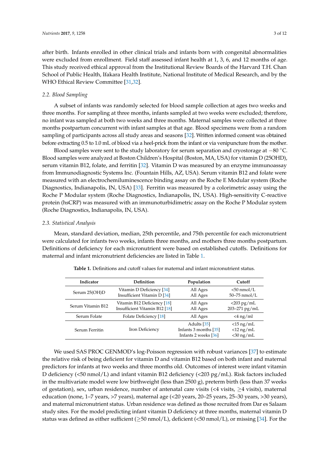after birth. Infants enrolled in other clinical trials and infants born with congenital abnormalities were excluded from enrollment. Field staff assessed infant health at 1, 3, 6, and 12 months of age. This study received ethical approval from the Institutional Review Boards of the Harvard T.H. Chan School of Public Health, Ifakara Health Institute, National Institute of Medical Research, and by the WHO Ethical Review Committee [\[31](#page-12-3)[,32\]](#page-12-4).

# *2.2. Blood Sampling*

<span id="page-3-1"></span>A subset of infants was randomly selected for blood sample collection at ages two weeks and three months. For sampling at three months, infants sampled at two weeks were excluded; therefore, no infant was sampled at both two weeks and three months. Maternal samples were collected at three months postpartum concurrent with infant samples at that age. Blood specimens were from a random sampling of participants across all study areas and seasons [\[32\]](#page-12-4). Written informed consent was obtained before extracting 0.5 to 1.0 mL of blood via a heel-prick from the infant or via venipuncture from the mother.

Blood samples were sent to the study laboratory for serum separation and cryostorage at −80 ◦C. Blood samples were analyzed at Boston Children's Hospital (Boston, MA, USA) for vitamin D (25OHD), serum vitamin B12, folate, and ferritin [\[32\]](#page-12-4). Vitamin D was measured by an enzyme immunoassay from Immunodiagnostic Systems Inc. (Fountain Hills, AZ, USA). Serum vitamin B12 and folate were measured with an electrochemiluminescence binding assay on the Roche E Modular system (Roche Diagnostics, Indianapolis, IN, USA) [\[33\]](#page-12-5). Ferritin was measured by a colorimetric assay using the Roche P Modular system (Roche Diagnostics, Indianapolis, IN, USA). High-sensitivity C-reactive protein (hsCRP) was measured with an immunoturbidimetric assay on the Roche P Modular system (Roche Diagnostics, Indianapolis, IN, USA).

#### *2.3. Statistical Analysis*

Mean, standard deviation, median, 25th percentile, and 75th percentile for each micronutrient were calculated for infants two weeks, infants three months, and mothers three months postpartum. Definitions of deficiency for each micronutrient were based on established cutoffs. Definitions for maternal and infant micronutrient deficiencies are listed in Table [1.](#page-3-0)

<span id="page-3-0"></span>

| Indicator                         | Definition                                                          | Population                                                   | Cutoff                                       |
|-----------------------------------|---------------------------------------------------------------------|--------------------------------------------------------------|----------------------------------------------|
| Serum 25(OH)D                     | Vitamin D Deficiency [34]<br>Insufficient Vitamin D [34]            | All Ages<br>All Ages                                         | $<$ 50 nmol/L<br>$50-75$ nmol/L              |
| Serum Vitamin B12                 | Vitamin B12 Deficiency [18]<br><b>Insufficient Vitamin B12 [18]</b> | All Ages<br>All Ages                                         | $<$ 203 pg/mL<br>203-271 pg/mL               |
| Serum Folate                      | Folate Deficiency [18]                                              | All Ages                                                     | $<$ 4 ng/ml                                  |
| Iron Deficiency<br>Serum Ferritin |                                                                     | Adults [35]<br>Infants 3 months [35]<br>Infants 2 weeks [36] | $<$ 15 ng/mL<br>$<$ 12 ng/mL<br>$<$ 30 ng/mL |

**Table 1.** Definitions and cutoff values for maternal and infant micronutrient status.

We used SAS PROC GENMOD's log-Poisson regression with robust variances [\[37\]](#page-12-9) to estimate the relative risk of being deficient for vitamin D and vitamin B12 based on both infant and maternal predictors for infants at two weeks and three months old. Outcomes of interest were infant vitamin D deficiency (<50 nmol/L) and infant vitamin B12 deficiency (<203 pg/mL). Risk factors included in the multivariate model were low birthweight (less than 2500 g), preterm birth (less than 37 weeks of gestation), sex, urban residence, number of antenatal care visits (<4 visits, ≥4 visits), maternal education (none, 1–7 years, >7 years), maternal age (<20 years, 20–25 years, 25–30 years, >30 years), and maternal micronutrient status. Urban residence was defined as those recruited from Dar es Salaam study sites. For the model predicting infant vitamin D deficiency at three months, maternal vitamin D status was defined as either sufficient ( $\geq$ 50 nmol/L), deficient ( $\lt$ 50 nmol/L), or missing [\[34\]](#page-12-6). For the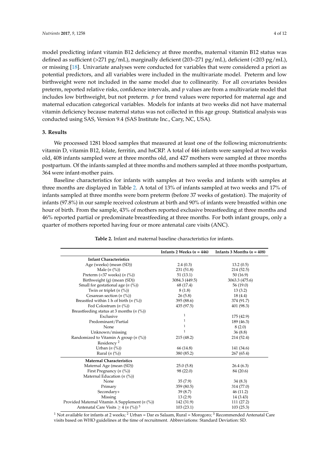model predicting infant vitamin B12 deficiency at three months, maternal vitamin B12 status was defined as sufficient (>271 pg/mL), marginally deficient (203–271 pg/mL), deficient (<203 pg/mL), or missing [\[18\]](#page-11-13). Univariate analyses were conducted for variables that were considered a priori as potential predictors, and all variables were included in the multivariate model. Preterm and low birthweight were not included in the same model due to collinearity. For all covariates besides preterm, reported relative risks, confidence intervals, and *p* values are from a multivariate model that includes low birthweight, but not preterm. *p* for trend values were reported for maternal age and maternal education categorical variables. Models for infants at two weeks did not have maternal vitamin deficiency because maternal status was not collected in this age group. Statistical analysis was conducted using SAS, Version 9.4 (SAS Institute Inc., Cary, NC, USA).

# **3. Results**

We processed 1281 blood samples that measured at least one of the following micronutrients: vitamin D, vitamin B12, folate, ferritin, and hsCRP. A total of 446 infants were sampled at two weeks old, 408 infants sampled were at three months old, and 427 mothers were sampled at three months postpartum. Of the infants sampled at three months and mothers sampled at three months postpartum, 364 were infant-mother pairs.

Baseline characteristics for infants with samples at two weeks and infants with samples at three months are displayed in Table [2.](#page-4-0) A total of 13% of infants sampled at two weeks and 17% of infants sampled at three months were born preterm (before 37 weeks of gestation). The majority of infants (97.8%) in our sample received colostrum at birth and 90% of infants were breastfed within one hour of birth. From the sample, 43% of mothers reported exclusive breastfeeding at three months and 46% reported partial or predominate breastfeeding at three months. For both infant groups, only a quarter of mothers reported having four or more antenatal care visits (ANC).

<span id="page-4-0"></span>

|                                                             | Infants 2 Weeks $(n = 446)$ | Infants 3 Months $(n = 408)$ |
|-------------------------------------------------------------|-----------------------------|------------------------------|
| <b>Infant Characteristics</b>                               |                             |                              |
| Age (weeks) (mean (SD))                                     | 2.4(0.3)                    | 13.2(0.5)                    |
| Male $(n \ (\%)$                                            | 231 (51.8)                  | 214 (52.5)                   |
| Preterm $(\leq 37$ weeks) $(n \ (\%)$                       | 51(13.1)                    | 50(16.9)                     |
| Birthweight (g) (mean (SD))                                 | 3084.3 (449.5)              | 3063.3 (475.6)               |
| Small for gestational age $(n \ (\%))$                      | 68 (17.4)                   | 56 (19.0)                    |
| Twin or triplet $(n \ (\%))$                                | 8(1.8)                      | 13(3.2)                      |
| Cesarean section $(n \, (\%)$                               | 26(5.8)                     | 18(4.4)                      |
| Breastfed within 1 h of birth $(n \ (\%))$                  | 395 (88.6)                  | 374 (91.7)                   |
| Fed Colostrum $(n \ (\%))$                                  | 435 (97.5)                  | 401 (98.3)                   |
| Breastfeeding status at 3 months $(n \, (\%)$               |                             |                              |
| Exclusive                                                   | $\mathbf{1}$                | 175 (42.9)                   |
| Predominant/Partial                                         | $\mathbf{1}$                | 189 (46.3)                   |
| None                                                        | $\mathbf{1}$                | 8(2.0)                       |
| Unknown/missing                                             | $\mathbf{1}$                | 36(8.8)                      |
| Randomized to Vitamin A group $(n \, (%)$                   | 215(48.2)                   | 214 (52.4)                   |
| Residency <sup>2</sup>                                      |                             |                              |
| Urban $(n \ (\%))$                                          | 66 (14.8)                   | 141 (34.6)                   |
| Rural $(n \ (\%)$                                           | 380 (85.2)                  | 267 (65.4)                   |
| <b>Maternal Characteristics</b>                             |                             |                              |
| Maternal Age (mean (SD))                                    | 25.0(5.8)                   | 26.4(6.3)                    |
| First Pregnancy $(n \ (\%))$                                | 98 (22.0)                   | 84 (20.6)                    |
| Maternal Education $(n \, (\%)$                             |                             |                              |
| None                                                        | 35(7.9)                     | 34 (8.3)                     |
| Primary                                                     | 359 (80.5)                  | 314 (77.0)                   |
| Secondary+                                                  | 39(8.7)                     | 46 (11.2)                    |
| Missing                                                     | 13(2.9)                     | 14 (3.43)                    |
| Provided Maternal Vitamin A Supplement $(n \, (\%)$         | 142 (31.9)                  | 111 (27.2)                   |
| Antenatal Care Visits $\geq 4$ ( <i>n</i> (%)) <sup>3</sup> | 103(23.1)                   | 103(25.3)                    |

**Table 2.** Infant and maternal baseline characteristics for infants.

<sup>1</sup> Not available for infants at 2 weeks; <sup>2</sup> Urban = Dar es Salaam, Rural = Morogoro; <sup>3</sup> Recommended Antenatal Care visits based on WHO guidelines at the time of recruitment. Abbreviations: Standard Deviation: SD.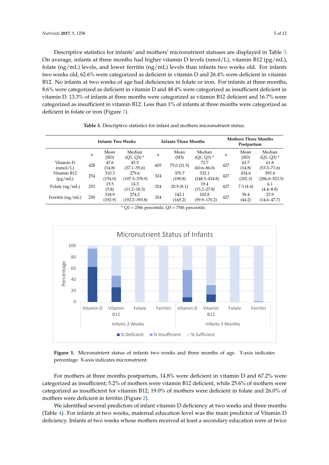Descriptive statistics for infants' and mothers' micronutrient statuses are displayed in Table [3.](#page-5-0) On average, infants at three months had higher vitamin D levels (nmol/L), vitamin B12 (pg/mL), folate (ng/mL) levels, and lower ferritin (ng/mL) levels than infants two weeks old. For infants two weeks old, 62.6% were categorized as deficient in vitamin D and 26.4% were deficient in vitamin B12. No infants at two weeks of age had deficiencies in folate or iron. For infants at three months,  $8.6\%$  were categorized as deficient in vitamin  ${\rm D}$  and  $48.4\%$  were categorized as insufficient deficient in vitamin D. 13.3% of infants at three months were categorized as vitamin B12 deficient and 16.7% were categorized as insufficient in vitamin B12. Less than 1% of infants at three months were categorized as deficient in folate or iron (Figure [1\)](#page-5-1).

<span id="page-5-0"></span>

|                        | <b>Infants Two Weeks</b> |                                                |                            |     | <b>Infants Three Months</b> |                            | <b>Mothers Three Months</b><br>Postpartum |                  |                            |
|------------------------|--------------------------|------------------------------------------------|----------------------------|-----|-----------------------------|----------------------------|-------------------------------------------|------------------|----------------------------|
|                        | $\boldsymbol{n}$         | Mean<br>(SD)                                   | Median<br>$(Q1, Q3)$ *     | n   | Mean<br>(SD)                | Median<br>$(Q1, Q3)^*$     | n                                         | Mean<br>(SD)     | Median<br>$(Q1, Q3)^*$     |
| Vitamin D<br>(mmol/L)  | 428                      | 47.6<br>(14.8)                                 | 45.5<br>$(37.1 - 55.6)$    | 405 | 75.0 (21.5)                 | 72.7<br>$(60.6 - 86.0)$    | 427                                       | 63.7<br>(14.8)   | 61.8<br>$(53.3 - 71.6)$    |
| Vitamin B12<br>(pg/mL) | 254                      | 310.3<br>(154.0)                               | 279.6<br>$(197.3 - 378.9)$ | 324 | 370.7<br>(190.8)            | 332.1<br>$(248.3 - 434.8)$ | 427                                       | 434.6<br>(202.3) | 395.4<br>$(286.8 - 523.5)$ |
| Folate $(ng/mL)$       | 253                      | 15.5<br>(5.8)                                  | 14.3<br>$(11.2 - 18.3)$    | 324 | 20.9(8.1)                   | 19.4<br>$(15.2 - 27.8)$    | 427                                       | 7.3(4.4)         | 6.1<br>$(4.4 - 8.8)$       |
| Ferritin $(ng/mL)$     | 250                      | 274.2<br>318.9<br>(192.9)<br>$(192.2 - 393.8)$ |                            | 324 | 142.1<br>(165.2)            | 102.8<br>$(59.9 - 170.2)$  | 427                                       | 39.4<br>(44.2)   | 25.9<br>$(14.6 - 47.7)$    |

**Table 3.** Descriptive statistics for infant and mothers micronutrient status.

centile

<span id="page-5-1"></span>

**Figure 1.** Micronutrient status of infants two weeks and three months of age. Y‐axis indicates **Figure 1.** Micronutrient status of infants two weeks and three months of age. Y-axis indicates percentage. X‐axis indicates micronutrient. percentage. X-axis indicates micronutrient.

For mothers at three months postpartum, 14.8% were deficient in vitamin D and 67.2% were For mothers at three months postpartum, 14.8% were deficient in vitamin D and 67.2% were categorized as insufficient; 5.2% of mothers were vitamin B12 deficient, while 25.6% of mothers were categorized as insufficient; 5.2% of mothers were vitamin B12 deficient, while 25.6% of mothers were categorized as insufficient for vitamin B12; 19.0% of mothers were deficient in folate and 26.0% of categorized as insufficient for vitamin B12; 19.0% of mothers were deficient in folate and 26.0% of mothers were deficient in ferritin (Figure 2). mothers were deficient in ferritin (Figure [2\)](#page-6-0).

We identified several predictors of infant vitamin D deficiency at two weeks and three months (Table [4\)](#page-7-0). For infants at two weeks, maternal education level was the main predictor of Vitamin D deficiency. Infants at two weeks whose mothers received at least a secondary education were at twice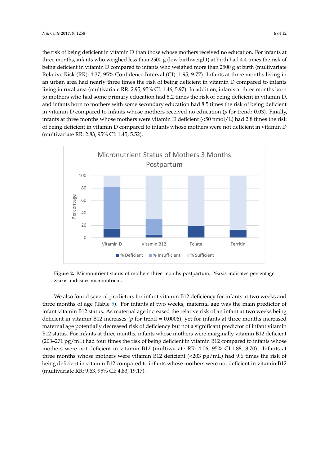the risk of being deficient in vitamin D than those whose mothers received no education. For infants at the risk of being deficient in vitamin D than those whose mothers received no education. For infants three months, infants who weighed less than 2500  ${\rm g}$  (low birthweight) at birth had 4.4 times the risk of being deficient in vitamin D compared to infants who weighed more than 2500 g at birth (multivariate Relative Risk (RR): 4.37, 95% Confidence Interval (CI): 1.95, 9.77). Infants at three months living in an urban area had nearly three times the risk of being deficient in vitamin D compared to infants living in rural area (multivariate RR: 2.95, 95% CI: 1.46, 5.97). In addition, infants at three months born to mothers who had some primary education had 5.2 times the risk of being deficient in vitamin D, and infants born to mothers with some secondary education had  $8.5$  times the risk of being deficient  $\,$ in vitamin D compared to infants whose mothers received no education ( $p$  for trend: 0.03). Finally, infants at three months whose mothers were vitamin D deficient ( $<$ 50 nmol/L) had 2.8 times the risk of being deficient in vitamin D compared to infants whose mothers were not deficient in vitamin D (multivariate RR: 2.83*,* 95% CI: 1.45*,* 5.52).

<span id="page-6-0"></span>

**Figure 2.** Micronutrient status of mothers three months postpartum. Y-axis indicates percentage. axis indicates micronutrient. X-axis indicates micronutrient.

We also found several predictors for infant vitamin B12 deficiency for infants at two weeks and We also found several predictors for infant vitamin B12 deficiency for infants at two weeks and three months of age (Table [5\)](#page-8-0). For infants at two weeks, maternal age was the main predictor of infant vitamin B12 status. As maternal age increased the relative risk of an infant at two weeks being deficient in vitamin B12 increases (*p* for trend = 0.0006), yet for infants at three months increased deficient in vitamin B12 increases (*p* for trend = 0.0006), yet for infants at three months increased maternal age potentially decreased risk of deficiency but not a significant predictor of infant vitamin maternal age potentially decreased risk of deficiency but not a significant predictor of infant vitamin B12 status. For infants at three months, infants whose mothers were marginally vitamin B12 deficient B12 status. For infants at three months, infants whose mothers were marginally vitamin B12 deficient (203–271 pg/mL) had four times the risk of being deficient in vitamin B12 compared to infants whose (203–271 pg/mL) had four times the risk of being deficient in vitamin B12 compared to infants whose mothers were not deficient in vitamin B12 (multivariate RR: 4.06, 95% CI:1.88, 8.70). Infants at three months whose mothers were vitamin B12 deficient (<203 pg/mL) had 9.6 times the risk of deficient in vitamin B12 compared to infants whose mothers were not deficient in vitamin B12 being deficient in vitamin B12 compared to infants whose mothers were not deficient in vitamin B12 (multivariate RR: 9.63, 95% CI: 4.83, 19.17). (multivariate RR: 9.63, 95% CI: 4.83, 19.17).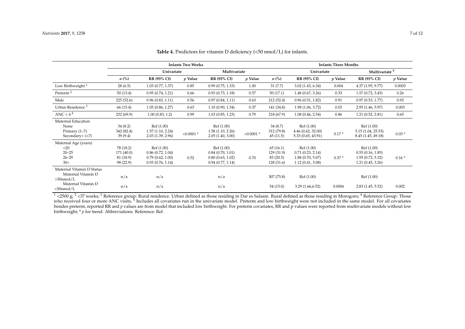|                                                                                                       |                                                   |                                                                        | <b>Infants Three Months</b> |                                                                       |              |                                                 |                                                                       |         |                                                                       |         |
|-------------------------------------------------------------------------------------------------------|---------------------------------------------------|------------------------------------------------------------------------|-----------------------------|-----------------------------------------------------------------------|--------------|-------------------------------------------------|-----------------------------------------------------------------------|---------|-----------------------------------------------------------------------|---------|
|                                                                                                       |                                                   | Univariate                                                             |                             | Multivariate                                                          |              |                                                 | Univariate                                                            |         | Multivariate <sup>5</sup>                                             |         |
|                                                                                                       | $n\left(\%\right)$                                | <b>RR (95% CI)</b>                                                     | p Value                     | <b>RR (95% CI)</b>                                                    | p Value      | $n\left(\%\right)$                              | <b>RR (95% CI)</b>                                                    | p Value | RR (95% CI)                                                           | p Value |
| Low Birthweight $1$                                                                                   | 28(6.5)                                           | 1.03(0.77, 1.37)                                                       | 0.85                        | 0.99(0.75, 1.33)                                                      | 1.00         | 31(7.7)                                         | 3.02(1.43, 6.34)                                                      | 0.004   | 4.37 (1.95, 9.77)                                                     | 0.0003  |
| Preterm <sup>2</sup>                                                                                  | 50(13.4)                                          | 0.95(0.74, 1.21)                                                       | 0.66                        | 0.93(0.73, 1.18)                                                      | 0.57         | 50(17.1)                                        | 1.48(0.67, 3.26)                                                      | 0.33    | 1.57(0.72, 3.45)                                                      | 0.26    |
| Male                                                                                                  | 225(52.6)                                         | 0.96(0.83, 1.11)                                                       | 0.56                        | 0.97(0.84, 1.11)                                                      | 0.63         | 212 (52.4)                                      | 0.96(0.51, 1.82)                                                      | 0.91    | 0.97(0.53, 1.77)                                                      | 0.92    |
| Urban Residence <sup>3</sup>                                                                          | 66 (15.4)                                         | 1.05(0.86, 1.27)                                                       | 0.63                        | 1.10(0.90, 1.34)                                                      | 0.37         | 141 (34.8)                                      | 1.98(1.06, 3.72)                                                      | 0.03    | 2.95(1.46, 5.97)                                                      | 0.003   |
| ANC < $4^4$                                                                                           | 232 (69.9)                                        | 1.00(0.83, 1.2)                                                        | 0.99                        | 1.03(0.85, 1.23)                                                      | 0.79         | 218(67.9)                                       | 1.08(0.46, 2.54)                                                      | 0.86    | 1.21(0.52, 2.81)                                                      | 0.65    |
| Maternal Education<br>None<br>Primary $(1-7)$<br>Secondary+ $($ >7 $)$                                | 34(8.2)<br>342 (82.4)<br>39(9.4)                  | Ref(1.00)<br>1.57(1.10, 2.24)<br>2.03(1.39, 2.96)                      | $< 0.0001$ *                | Ref(1.00)<br>1.58(1.10, 2.26)<br>2.05(1.40, 3.00)                     | $< 0.0001$ * | 34(8.7)<br>312(79.8)<br>45(11.5)                | Ref(1.00)<br>4.46 (0.62, 32.00)<br>5.33 (0.65, 43.91)                 | $0.17*$ | Ref(1.00)<br>5.15 (1.04, 25.53)<br>8.45 (1.45, 49.18)                 | $0.03*$ |
| Maternal Age (years)<br>$<$ 20<br>$20 - 25$<br>$26 - 29$<br>$30+$                                     | 78 (18.2)<br>171 (40.0)<br>81 (18.9)<br>98 (22.9) | Ref (1.00)<br>0.86(0.72, 1.04)<br>0.79(0.62, 1.00)<br>0.93(0.76, 1.14) | 0.52                        | Ref(1.00)<br>0.84(0.70, 1.01)<br>0.80(0.63, 1.02)<br>0.94(0.77, 1.14) | 0.70         | 65(16.1)<br>129(31.9)<br>83 (20.5)<br>128(31.6) | Ref(1.00)<br>0.71(0.23, 2.14)<br>1.88(0.70, 5.07)<br>1.12(0.41, 3.08) | $0.37*$ | Ref(1.00)<br>0.55(0.16, 1.85)<br>1.95(0.72, 5.32)<br>1.21(0.45, 3.26) | $0.16*$ |
| Maternal Vitamin D Status<br>Maternal Vitamin D<br>$>50$ nmol/L<br>Maternal Vitamin D<br>$<$ 50nmol/L | n/a<br>n/a                                        | n/a<br>n/a                                                             |                             | n/a<br>n/a                                                            |              | 307(75.8)<br>54(15.0)                           | Ref(1.00)<br>3.29(1.66, 6.52)                                         | 0.0006  | Ref(1.00)<br>2.83(1.45, 5.52)                                         | 0.002   |

Table 4. Predictors for vitamin D deficiency (<50 nmol/L) for infants.

<span id="page-7-0"></span> $1$  <2500 g; <sup>2</sup> <37 weeks; <sup>3</sup> Reference group: Rural residence. Urban defined as those residing in Dar es Salaam. Rural defined as those residing in Morogoro; <sup>4</sup> Reference Group: Those who received four or more ANC visits; <sup>5</sup> Includes all covariates run in the univariate model. Preterm and low birthweight were not included in the same model. For all covariates besides preterm, reported RR and *p* values are from model that included low birthweight. For preterm covariates, RR and p values were reported from multivariate models without low birthweight; \* *p* for trend. Abbreviations: Reference: Ref.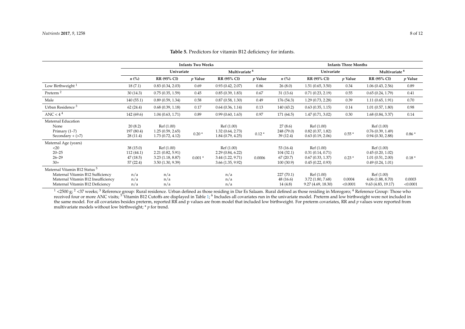|                                                                                                                                                       | <b>Infants Two Weeks</b>                      |                                                                       |          |                                                                        |         |                                                | <b>Infants Three Months</b>                                           |                    |                                                                       |                    |  |
|-------------------------------------------------------------------------------------------------------------------------------------------------------|-----------------------------------------------|-----------------------------------------------------------------------|----------|------------------------------------------------------------------------|---------|------------------------------------------------|-----------------------------------------------------------------------|--------------------|-----------------------------------------------------------------------|--------------------|--|
|                                                                                                                                                       | Univariate                                    |                                                                       |          | Multivariate <sup>6</sup>                                              |         |                                                | Univariate                                                            |                    | Multivariate <sup>6</sup>                                             |                    |  |
|                                                                                                                                                       | $n\ (\%)$                                     | RR (95% CI)                                                           | p Value  | RR (95% CI)                                                            | p Value | $n\ (\%)$                                      | <b>RR (95% CI)</b>                                                    | p Value            | RR (95% CI)                                                           | p Value            |  |
| Low Birthweight <sup>1</sup>                                                                                                                          | 18(7.1)                                       | 0.83(0.34, 2.03)                                                      | 0.69     | 0.93(0.42, 2.07)                                                       | 0.86    | 26(8.0)                                        | 1.51(0.65, 3.50)                                                      | 0.34               | 1.06(0.43, 2.56)                                                      | 0.89               |  |
| Preterm <sup>2</sup>                                                                                                                                  | 30(14.3)                                      | 0.75(0.35, 1.59)                                                      | 0.45     | 0.85(0.39, 1.83)                                                       | 0.67    | 31(13.6)                                       | 0.71(0.23, 2.19)                                                      | 0.55               | 0.65(0.24, 1.79)                                                      | 0.41               |  |
| Male                                                                                                                                                  | 140(55.1)                                     | 0.89(0.59, 1.34)                                                      | 0.58     | 0.87(0.58, 1.30)                                                       | 0.49    | 176 (54.3)                                     | 1.29(0.73, 2.28)                                                      | 0.39               | 1.11(0.65, 1.91)                                                      | 0.70               |  |
| Urban Residence <sup>3</sup>                                                                                                                          | 62(24.4)                                      | 0.68(0.39, 1.18)                                                      | 0.17     | 0.64(0.36, 1.14)                                                       | 0.13    | 140(43.2)                                      | 0.63(0.35, 1.15)                                                      | 0.14               | 1.01(0.57, 1.80)                                                      | 0.98               |  |
| ANC < $4^4$                                                                                                                                           | 142 (69.6)                                    | 1.04(0.63, 1.71)                                                      | 0.89     | 0.99(0.60, 1.63)                                                       | 0.97    | 171(64.5)                                      | 1.47(0.71, 3.02)                                                      | 0.30               | 1.68(0.84, 3.37)                                                      | 0.14               |  |
| Maternal Education                                                                                                                                    |                                               |                                                                       |          |                                                                        |         |                                                |                                                                       |                    |                                                                       |                    |  |
| None<br>Primary $(1-7)$<br>Secondary $+(>7)$                                                                                                          | 20(8.2)<br>197 (80.4)<br>28(11.4)             | Ref(1.00)<br>1.25(0.59, 2.65)<br>1.73(0.72, 4.12)                     | $0.20*$  | Ref(1.00)<br>1.32(0.64, 2.73)<br>1.84(0.79, 4.25)                      | $0.12*$ | 27(8.6)<br>248 (79.0)<br>39(12.4)              | Ref (1.00)<br>0.82(0.37, 1.82)<br>0.63(0.19, 2.06)                    | $0.55*$            | Ref(1.00)<br>0.76(0.39, 1.49)<br>0.94(0.30, 2.88)                     | $0.86*$            |  |
| Maternal Age (years)                                                                                                                                  |                                               |                                                                       |          |                                                                        |         |                                                |                                                                       |                    |                                                                       |                    |  |
| $<$ 20<br>$20 - 25$<br>$26 - 29$<br>$30+$                                                                                                             | 38(15.0)<br>112(44.1)<br>47(18.5)<br>57(22.4) | Ref(1.00)<br>2.21(0.82, 5.91)<br>3.23(1.18, 8.87)<br>3.50(1.30, 9.39) | $0.001*$ | Ref(1.00)<br>2.29(0.84, 6.22)<br>3.44 (1.22, 9.71)<br>3.66(1.35, 9.92) | 0.0006  | 53(16.4)<br>104(32.1)<br>67(20.7)<br>100(30.9) | Ref(1.00)<br>0.31(0.14, 0.71)<br>0.67(0.33, 1.37)<br>0.45(0.22, 0.93) | $0.23*$            | Ref(1.00)<br>0.45(0.20, 1.02)<br>1.01(0.51, 2.00)<br>0.49(0.24, 1.01) | $0.18*$            |  |
| Maternal Vitamin B12 Status <sup>5</sup><br>Maternal Vitamin B12 Sufficiency<br>Maternal Vitamin B12 Insufficiency<br>Maternal Vitamin B12 Deficiency | n/a<br>n/a<br>n/a                             | n/a<br>n/a<br>n/a                                                     |          | n/a<br>n/a<br>n/a                                                      |         | 227(70.1)<br>48(16.6)<br>14(4.8)               | Ref (1.00)<br>3.72 (1.80, 7.68)<br>9.27(4.69, 18.30)                  | 0.0004<br>< 0.0001 | Ref(1.00)<br>4.06(1.88, 8.70)<br>9.63 (4.83, 19.17)                   | 0.0003<br>< 0.0001 |  |

#### **Table 5.** Predictors for vitamin B12 deficiency for infants.

<span id="page-8-0"></span> $^{-1}$  <2500 g;  $^2$  <37 weeks;  $^3$  Reference group: Rural residence. Urban defined as those residing in Dar Es Salaam. Rural defined as those residing in Morogoro;  $^4$  Reference Group: Those who received four or more ANC visits; <sup>5</sup> Vitamin B12 Cutoffs are displayed in Table [1;](#page-3-1) <sup>6</sup> Includes all covariates run in the univariate model. Preterm and low birthweight were not included in the same model. For all covariates besides preterm, reported RR and p values are from model that included low birthweight. For preterm covariates, RR and *p* values were reported from multivariate models without low birthweight; \* *p* for trend.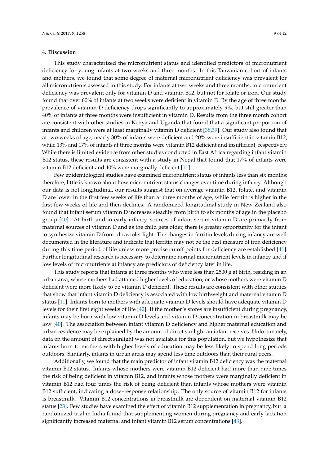# **4. Discussion**

This study characterized the micronutrient status and identified predictors of micronutrient deficiency for young infants at two weeks and three months. In this Tanzanian cohort of infants and mothers, we found that some degree of maternal micronutrient deficiency was prevalent for all micronutrients assessed in this study. For infants at two weeks and three months, micronutrient deficiency was prevalent only for vitamin D and vitamin B12, but not for folate or iron. Our study found that over 60% of infants at two weeks were deficient in vitamin D. By the age of three months prevalence of vitamin D deficiency drops significantly to approximately 9%, but still greater than 40% of infants at three months were insufficient in vitamin D. Results from the three month cohort are consistent with other studies in Kenya and Uganda that found that a significant proportion of infants and children were at least marginally vitamin D deficient [\[38,](#page-12-10)[39\]](#page-12-11). Our study also found that at two weeks of age, nearly 30% of infants were deficient and 20% were insufficient in vitamin B12, while 13% and 17% of infants at three months were vitamin B12 deficient and insufficient, respectively. While there is limited evidence from other studies conducted in East Africa regarding infant vitamin B12 status, these results are consistent with a study in Nepal that found that 17% of infants were vitamin B12 deficient and 40% were marginally deficient [\[11\]](#page-11-6).

Few epidemiological studies have examined micronutrient status of infants less than six months; therefore, little is known about how micronutrient status changes over time during infancy. Although our data is not longitudinal, our results suggest that on average vitamin B12, folate, and vitamin D are lower in the first few weeks of life than at three months of age, while ferritin is higher in the first few weeks of life and then declines. A randomized longitudinal study in New Zealand also found that infant serum vitamin D increases steadily from birth to six months of age in the placebo group [\[40\]](#page-12-12). At birth and in early infancy, sources of infant serum vitamin D are primarily from maternal sources of vitamin D and as the child gets older, there is greater opportunity for the infant to synthesize vitamin D from ultraviolet light. The changes in ferritin levels during infancy are well documented in the literature and indicate that ferritin may not be the best measure of iron deficiency during this time period of life unless more precise cutoff points for deficiency are established [\[41\]](#page-12-13). Further longitudinal research is necessary to determine normal micronutrient levels in infancy and if low levels of micronutrients at infancy are predictors of deficiency later in life.

This study reports that infants at three months who were less than 2500 g at birth, residing in an urban area, whose mothers had attained higher levels of education, or whose mothers were vitamin D deficient were more likely to be vitamin D deficient. These results are consistent with other studies that show that infant vitamin D deficiency is associated with low birthweight and maternal vitamin D status [\[11\]](#page-11-6). Infants born to mothers with adequate vitamin D levels should have adequate vitamin D levels for their first eight weeks of life [\[42\]](#page-12-14). If the mother's stores are insufficient during pregnancy, infants may be born with low vitamin D levels and vitamin D concentration in breastmilk may be low [\[40\]](#page-12-12). The association between infant vitamin D deficiency and higher maternal education and urban residence may be explained by the amount of direct sunlight an infant receives. Unfortunately, data on the amount of direct sunlight was not available for this population, but we hypothesize that infants born to mothers with higher levels of education may be less likely to spend long periods outdoors. Similarly, infants in urban areas may spend less time outdoors than their rural peers.

Additionally, we found that the main predictor of infant vitamin B12 deficiency was the maternal vitamin B12 status. Infants whose mothers were vitamin B12 deficient had more than nine times the risk of being deficient in vitamin B12, and infants whose mothers were marginally deficient in vitamin B12 had four times the risk of being deficient than infants whose mothers were vitamin B12 sufficient, indicating a dose–response relationship. The only source of vitamin B12 for infants is breastmilk. Vitamin B12 concentrations in breastmilk are dependent on maternal vitamin B12 status [\[23\]](#page-11-17). Few studies have examined the effect of vitamin B12 supplementation in pregnancy, but a randomized trial in India found that supplementing women during pregnancy and early lactation significantly increased maternal and infant vitamin B12 serum concentrations [\[43\]](#page-12-15).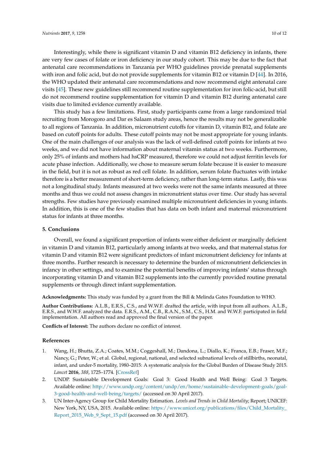Interestingly, while there is significant vitamin D and vitamin B12 deficiency in infants, there are very few cases of folate or iron deficiency in our study cohort. This may be due to the fact that antenatal care recommendations in Tanzania per WHO guidelines provide prenatal supplements with iron and folic acid, but do not provide supplements for vitamin B12 or vitamin D [\[44\]](#page-12-16). In 2016, the WHO updated their antenatal care recommendations and now recommend eight antenatal care visits [\[45\]](#page-12-17). These new guidelines still recommend routine supplementation for iron folic-acid, but still do not recommend routine supplementation for vitamin D and vitamin B12 during antenatal care visits due to limited evidence currently available.

This study has a few limitations. First, study participants came from a large randomized trial recruiting from Morogoro and Dar es Salaam study areas, hence the results may not be generalizable to all regions of Tanzania. In addition, micronutrient cutoffs for vitamin D, vitamin B12, and folate are based on cutoff points for adults. These cutoff points may not be most appropriate for young infants. One of the main challenges of our analysis was the lack of well-defined cutoff points for infants at two weeks, and we did not have information about maternal vitamin status at two weeks. Furthermore, only 25% of infants and mothers had hsCRP measured, therefore we could not adjust ferritin levels for acute phase infection. Additionally, we chose to measure serum folate because it is easier to measure in the field, but it is not as robust as red cell folate. In addition, serum folate fluctuates with intake therefore is a better measurement of short-term deficiency, rather than long-term status. Lastly, this was not a longitudinal study. Infants measured at two weeks were not the same infants measured at three months and thus we could not assess changes in micronutrient status over time. Our study has several strengths. Few studies have previously examined multiple micronutrient deficiencies in young infants. In addition, this is one of the few studies that has data on both infant and maternal micronutrient status for infants at three months.

# **5. Conclusions**

Overall, we found a significant proportion of infants were either deficient or marginally deficient in vitamin D and vitamin B12, particularly among infants at two weeks, and that maternal status for vitamin D and vitamin B12 were significant predictors of infant micronutrient deficiency for infants at three months. Further research is necessary to determine the burden of micronutrient deficiencies in infancy in other settings, and to examine the potential benefits of improving infants' status through incorporating vitamin D and vitamin B12 supplements into the currently provided routine prenatal supplements or through direct infant supplementation.

**Acknowledgments:** This study was funded by a grant from the Bill & Melinda Gates Foundation to WHO.

**Author Contributions:** A.L.B., E.R.S., C.S., and W.W.F. drafted the article, with input from all authors. A.L.B., E.R.S., and W.W.F. analyzed the data. E.R.S., A.M., C.B., R.A.N., S.M., C.S., H.M. and W.W.F. participated in field implementation. All authors read and approved the final version of the paper.

**Conflicts of Interest:** The authors declare no conflict of interest.

# **References**

- <span id="page-10-0"></span>1. Wang, H.; Bhutta, Z.A.; Coates, M.M.; Coggeshall, M.; Dandona, L.; Diallo, K.; Franca, E.B.; Fraser, M.F.; Nancy, G.; Peter, W.; et al. Global, regional, national, and selected subnational levels of stillbirths, neonatal, infant, and under-5 mortality, 1980–2015: A systematic analysis for the Global Burden of Disease Study 2015. *Lancet* **2016**, *388*, 1725–1774. [\[CrossRef\]](http://dx.doi.org/10.1016/S0140-6736(16)31575-6)
- <span id="page-10-1"></span>2. UNDP. Sustainable Development Goals: Goal 3: Good Health and Well Being: Goal 3 Targets. Available online: [http://www.undp.org/content/undp/en/home/sustainable-development-goals/goal-](http://www.undp.org/content/undp/en/home/sustainable-development-goals/goal-3-good-health-and-well-being/targets/)[3-good-health-and-well-being/targets/](http://www.undp.org/content/undp/en/home/sustainable-development-goals/goal-3-good-health-and-well-being/targets/) (accessed on 30 April 2017).
- <span id="page-10-2"></span>3. UN Inter-Agency Group for Child Mortality Estimation. *Levels and Trends in Child Mortality*; Report; UNICEF: New York, NY, USA, 2015. Available online: [https://www.unicef.org/publications/files/Child\\_Mortality\\_](https://www.unicef.org/publications/files/Child_Mortality_Report_2015_Web_9_Sept_15.pdf) [Report\\_2015\\_Web\\_9\\_Sept\\_15.pdf](https://www.unicef.org/publications/files/Child_Mortality_Report_2015_Web_9_Sept_15.pdf) (accessed on 30 April 2017).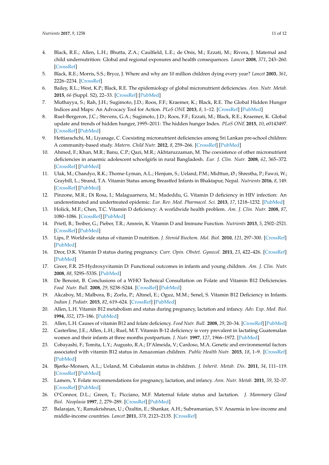- <span id="page-11-0"></span>4. Black, R.E.; Allen, L.H.; Bhutta, Z.A.; Caulfield, L.E.; de Onis, M.; Ezzati, M.; Rivera, J. Maternal and child undernutrition: Global and regional exposures and health consequences. *Lancet* **2008**, *371*, 243–260. [\[CrossRef\]](http://dx.doi.org/10.1016/S0140-6736(07)61690-0)
- <span id="page-11-1"></span>5. Black, R.E.; Morris, S.S.; Bryce, J. Where and why are 10 million children dying every year? *Lancet* **2003**, *361*, 2226–2234. [\[CrossRef\]](http://dx.doi.org/10.1016/S0140-6736(03)13779-8)
- <span id="page-11-2"></span>6. Bailey, R.L.; West, K.P.; Black, R.E. The epidemiology of global micronutrient deficiencies. *Ann. Nutr. Metab.* **2015**, *66* (Suppl. S2), 22–33. [\[CrossRef\]](http://dx.doi.org/10.1159/000371618) [\[PubMed\]](http://www.ncbi.nlm.nih.gov/pubmed/26045325)
- <span id="page-11-3"></span>7. Muthayya, S.; Rah, J.H.; Sugimoto, J.D.; Roos, F.F.; Kraemer, K.; Black, R.E. The Global Hidden Hunger Indices and Maps: An Advocacy Tool for Action. *PLoS ONE* **2013**, *8*, 1–12. [\[CrossRef\]](http://dx.doi.org/10.1371/journal.pone.0067860) [\[PubMed\]](http://www.ncbi.nlm.nih.gov/pubmed/23776712)
- <span id="page-11-4"></span>8. Ruel-Bergeron, J.C.; Stevens, G.A.; Sugimoto, J.D.; Roos, F.F.; Ezzati, M.; Black, R.E.; Kraemer, K. Global update and trends of hidden hunger, 1995–2011: The hidden hunger Index. *PLoS ONE* **2015**, *10*, e0143497. [\[CrossRef\]](http://dx.doi.org/10.1371/journal.pone.0143497) [\[PubMed\]](http://www.ncbi.nlm.nih.gov/pubmed/26673631)
- <span id="page-11-5"></span>9. Hettiarachchi, M.; Liyanage, C. Coexisting micronutrient deficiencies among Sri Lankan pre-school children: A community-based study. *Matern. Child Nutr.* **2012**, *8*, 259–266. [\[CrossRef\]](http://dx.doi.org/10.1111/j.1740-8709.2010.00290.x) [\[PubMed\]](http://www.ncbi.nlm.nih.gov/pubmed/21166995)
- 10. Ahmed, F.; Khan, M.R.; Banu, C.P.; Qazi, M.R.; Akhtaruzzaman, M. The coexistence of other micronutrient deficiencies in anaemic adolescent schoolgirls in rural Bangladesh. *Eur. J. Clin. Nutr.* **2008**, *62*, 365–372. [\[CrossRef\]](http://dx.doi.org/10.1038/sj.ejcn.1602697) [\[PubMed\]](http://www.ncbi.nlm.nih.gov/pubmed/17327866)
- <span id="page-11-6"></span>11. Ulak, M.; Chandyo, R.K.; Thorne-Lyman, A.L.; Henjum, S.; Ueland, P.M.; Midttun, Ø.; Shrestha, P.; Fawzi, W.; Graybill, L.; Strand, T.A. Vitamin Status among Breastfed Infants in Bhaktapur, Nepal. *Nutrients* **2016**, *8*, 149. [\[CrossRef\]](http://dx.doi.org/10.3390/nu8030149) [\[PubMed\]](http://www.ncbi.nlm.nih.gov/pubmed/27005657)
- <span id="page-11-7"></span>12. Pinzone, M.R.; Di Rosa, I.; Malaguarnera, M.; Madeddu, G. Vitamin D deficiency in HIV infection: An underestimated and undertreated epidemic. *Eur. Rev. Med. Pharmacol. Sci.* **2013**, *17*, 1218–1232. [\[PubMed\]](http://www.ncbi.nlm.nih.gov/pubmed/23690192)
- <span id="page-11-8"></span>13. Holick, M.F.; Chen, T.C. Vitamin D deficiency: A worldwide health problem. *Am. J. Clin. Nutr.* **2008**, *87*, 1080–1086. [\[CrossRef\]](http://dx.doi.org/10.1056/NEJMra070553) [\[PubMed\]](http://www.ncbi.nlm.nih.gov/pubmed/17634462)
- <span id="page-11-9"></span>14. Prietl, B.; Treiber, G.; Pieber, T.R.; Amrein, K. Vitamin D and Immune Function. *Nutrients* **2013**, *5*, 2502–2521. [\[CrossRef\]](http://dx.doi.org/10.3390/nu5072502) [\[PubMed\]](http://www.ncbi.nlm.nih.gov/pubmed/23857223)
- <span id="page-11-10"></span>15. Lips, P. Worldwide status of vitamin D nutrition. *J. Steroid Biochem. Mol. Biol.* **2010**, *121*, 297–300. [\[CrossRef\]](http://dx.doi.org/10.1016/j.jsbmb.2010.02.021) [\[PubMed\]](http://www.ncbi.nlm.nih.gov/pubmed/20197091)
- <span id="page-11-11"></span>16. Dror, D.K. Vitamin D status during pregnancy. *Curr. Opin. Obstet. Gynecol.* **2011**, *23*, 422–426. [\[CrossRef\]](http://dx.doi.org/10.1097/GCO.0b013e32834cb791) [\[PubMed\]](http://www.ncbi.nlm.nih.gov/pubmed/21986726)
- <span id="page-11-12"></span>17. Greer, F.R. 25-Hydroxyvitamin D: Functional outcomes in infants and young children. *Am. J. Clin. Nutr.* **2008**, *88*, 529S–533S. [\[PubMed\]](http://www.ncbi.nlm.nih.gov/pubmed/18689395)
- <span id="page-11-13"></span>18. De Benoist, B. Conclusions of a WHO Technical Consultation on Folate and Vitamin B12 Deficiencies. *Food Nutr. Bull.* **2008**, *29*, S238–S244. [\[CrossRef\]](http://dx.doi.org/10.1177/15648265080292S129) [\[PubMed\]](http://www.ncbi.nlm.nih.gov/pubmed/18709899)
- <span id="page-11-14"></span>19. Akcaboy, M.; Malbora, B.; Zorlu, P.; Altınel, E.; Oguz, M.M.; Senel, S. Vitamin B12 Deficiency in Infants. *Indian J. Pediatr.* **2015**, *82*, 619–624. [\[CrossRef\]](http://dx.doi.org/10.1007/s12098-015-1725-3) [\[PubMed\]](http://www.ncbi.nlm.nih.gov/pubmed/25840526)
- <span id="page-11-15"></span>20. Allen, L.H. Vitamin B12 metabolism and status during pregnancy, lactation and infancy. *Adv. Exp. Med. Biol.* **1994**, *352*, 173–186. [\[PubMed\]](http://www.ncbi.nlm.nih.gov/pubmed/7832046)
- <span id="page-11-16"></span>21. Allen, L.H. Causes of vitamin B12 and folate deficiency. *Food Nutr. Bull.* **2008**, *29*, 20–34. [\[CrossRef\]](http://dx.doi.org/10.1177/15648265080292S105) [\[PubMed\]](http://www.ncbi.nlm.nih.gov/pubmed/18709879)
- 22. Casterline, J.E.; Allen, L.H.; Ruel, M.T. Vitamin B-12 deficiency is very prevalent in lactating Guatemalan women and their infants at three months postpartum. *J. Nutr.* **1997**, *127*, 1966–1972. [\[PubMed\]](http://www.ncbi.nlm.nih.gov/pubmed/9311952)
- <span id="page-11-17"></span>23. Cobayashi, F.; Tomita, L.Y.; Augusto, R.A.; D'Almeida, V.; Cardoso, M.A. Genetic and environmental factors associated with vitamin B12 status in Amazonian children. *Public Health Nutr.* **2015**, *18*, 1–9. [\[CrossRef\]](http://dx.doi.org/10.1017/S1368980014003061) [\[PubMed\]](http://www.ncbi.nlm.nih.gov/pubmed/25591618)
- <span id="page-11-18"></span>24. Bjørke-Monsen, A.L.; Ueland, M. Cobalamin status in children. *J. Inherit. Metab. Dis.* **2011**, *34*, 111–119. [\[CrossRef\]](http://dx.doi.org/10.1007/s10545-010-9119-1) [\[PubMed\]](http://www.ncbi.nlm.nih.gov/pubmed/20508991)
- <span id="page-11-19"></span>25. Lamers, Y. Folate recommendations for pregnancy, lactation, and infancy. *Ann. Nutr. Metab.* **2011**, *59*, 32–37. [\[CrossRef\]](http://dx.doi.org/10.1159/000332073) [\[PubMed\]](http://www.ncbi.nlm.nih.gov/pubmed/22123635)
- <span id="page-11-20"></span>26. O'Connor, D.L.; Green, T.; Picciano, M.F. Maternal folate status and lactation. *J. Mammary Gland Biol. Neoplasia* **1997**, *2*, 279–289. [\[CrossRef\]](http://dx.doi.org/10.1023/A:1026388522182) [\[PubMed\]](http://www.ncbi.nlm.nih.gov/pubmed/10882311)
- <span id="page-11-21"></span>27. Balarajan, Y.; Ramakrishnan, U.; Özaltin, E.; Shankar, A.H.; Subramanian, S.V. Anaemia in low-income and middle-income countries. *Lancet* **2011**, *378*, 2123–2135. [\[CrossRef\]](http://dx.doi.org/10.1016/S0140-6736(10)62304-5)